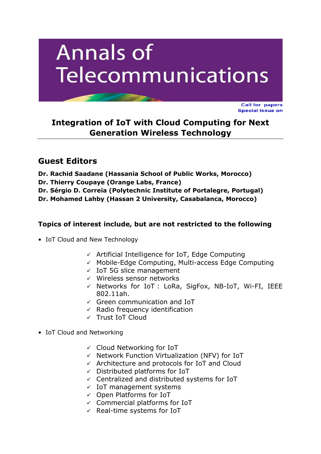# **Annals of Telecommunications**

**Call for papers Special Issue on** 

**Integration of IoT with Cloud Computing for Next Generation Wireless Technology** 

## **Guest Editors**

**Dr. Rachid Saadane (Hassania School of Public Works, Morocco) Dr. Thierry Coupaye (Orange Labs, France) Dr. Sérgio D. Correia (Polytechnic Institute of Portalegre, Portugal) Dr. Mohamed Lahby (Hassan 2 University, Casabalanca, Morocco)**

### **Topics of interest include, but are not restricted to the following**

- IoT Cloud and New Technology
	- $\checkmark$  Artificial Intelligence for IoT, Edge Computing
	- $\checkmark$  Mobile-Edge Computing, Multi-access Edge Computing
	- $\times$  IoT 5G slice management
	- $\checkmark$  Wireless sensor networks
	- $\checkmark$  Networks for IoT : LoRa, SigFox, NB-IoT, Wi-FI, IEEE 802.11ah.
	- $\checkmark$  Green communication and IoT
	- $\checkmark$  Radio frequency identification
	- Trust IoT Cloud
- IoT Cloud and Networking
	- $\checkmark$  Cloud Networking for IoT
	- $\checkmark$  Network Function Virtualization (NFV) for IoT
	- $\checkmark$  Architecture and protocols for IoT and Cloud
	- $\checkmark$  Distributed platforms for IoT
	- $\checkmark$  Centralized and distributed systems for IoT
	- $\times$  IoT management systems
	- $\checkmark$  Open Platforms for IoT
	- $\checkmark$  Commercial platforms for IoT
	- $\checkmark$  Real-time systems for IoT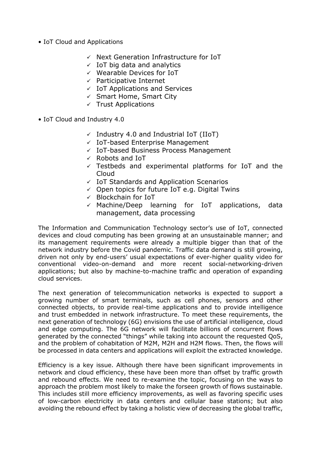- IoT Cloud and Applications
	- $\checkmark$  Next Generation Infrastructure for IoT
	- $\times$  IoT big data and analytics
	- $\checkmark$  Wearable Devices for IoT
	- $\checkmark$  Participative Internet
	- $\checkmark$  IoT Applications and Services
	- $\checkmark$  Smart Home, Smart City
	- $\checkmark$  Trust Applications
- IoT Cloud and Industry 4.0
	- $\checkmark$  Industry 4.0 and Industrial IoT (IIoT)
	- $\checkmark$  IoT-based Enterprise Management
	- $\checkmark$  IoT-based Business Process Management
	- $\checkmark$  Robots and IoT
	- $\checkmark$  Testbeds and experimental platforms for IoT and the Cloud
	- $\checkmark$  IoT Standards and Application Scenarios
	- $\checkmark$  Open topics for future IoT e.g. Digital Twins
	- $\checkmark$  Blockchain for IoT
	- $\checkmark$  Machine/Deep learning for IoT applications, data management, data processing

The Information and Communication Technology sector's use of IoT, connected devices and cloud computing has been growing at an unsustainable manner; and its management requirements were already a multiple bigger than that of the network industry before the Covid pandemic. Traffic data demand is still growing, driven not only by end-users' usual expectations of ever-higher quality video for conventional video-on-demand and more recent social-networking-driven applications; but also by machine-to-machine traffic and operation of expanding cloud services.

The next generation of telecommunication networks is expected to support a growing number of smart terminals, such as cell phones, sensors and other connected objects, to provide real-time applications and to provide intelligence and trust embedded in network infrastructure. To meet these requirements, the next generation of technology (6G) envisions the use of artificial intelligence, cloud and edge computing. The 6G network will facilitate billions of concurrent flows generated by the connected "things" while taking into account the requested QoS, and the problem of cohabitation of M2M, M2H and H2M flows. Then, the flows will be processed in data centers and applications will exploit the extracted knowledge.

Efficiency is a key issue. Although there have been significant improvements in network and cloud efficiency, these have been more than offset by traffic growth and rebound effects. We need to re-examine the topic, focusing on the ways to approach the problem most likely to make the forseen growth of flows sustainable. This includes still more efficiency improvements, as well as favoring specific uses of low-carbon electricity in data centers and cellular base stations; but also avoiding the rebound effect by taking a holistic view of decreasing the global traffic,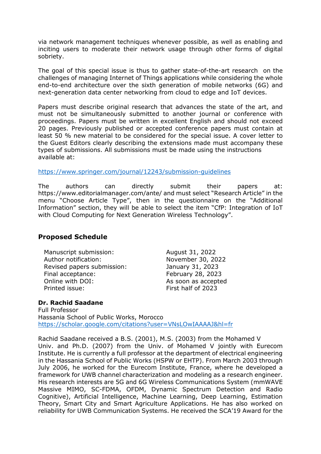via network management techniques whenever possible, as well as enabling and inciting users to moderate their network usage through other forms of digital sobriety.

The goal of this special issue is thus to gather state-of-the-art research on the challenges of managing Internet of Things applications while considering the whole end-to-end architecture over the sixth generation of mobile networks (6G) and next-generation data center networking from cloud to edge and IoT devices.

Papers must describe original research that advances the state of the art, and must not be simultaneously submitted to another journal or conference with proceedings. Papers must be written in excellent English and should not exceed 20 pages. Previously published or accepted conference papers must contain at least 50 % new material to be considered for the special issue. A cover letter to the Guest Editors clearly describing the extensions made must accompany these types of submissions. All submissions must be made using the instructions available at:

#### <https://www.springer.com/journal/12243/submission-guidelines>

The authors can directly submit their papers at: https://www.editorialmanager.com/ante/ and must select "Research Article" in the menu "Choose Article Type", then in the questionnaire on the "Additional Information" section, they will be able to select the item "CfP: Integration of IoT with Cloud Computing for Next Generation Wireless Technology".

#### **Proposed Schedule**

Manuscript submission: Manuscript submission: Author notification: November 30, 2022 Revised papers submission: January 31, 2023 Final acceptance: February 28, 2023 Online with DOI: As soon as accepted Printed issue: First half of 2023

#### **Dr. Rachid Saadane**

Full Professor Hassania School of Public Works, Morocco <https://scholar.google.com/citations?user=VNsLOwIAAAAJ&hl=fr>

Rachid Saadane received a B.S. (2001), M.S. (2003) from the Mohamed V Univ. and Ph.D. (2007) from the Univ. of Mohamed V jointly with Eurecom Institute. He is currently a full professor at the department of electrical engineering in the Hassania School of Public Works (HSPW or EHTP). From March 2003 through July 2006, he worked for the Eurecom Institute, France, where he developed a framework for UWB channel characterization and modeling as a research engineer. His research interests are 5G and 6G Wireless Communications System (mmWAVE Massive MIMO, SC-FDMA, OFDM, Dynamic Spectrum Detection and Radio Cognitive), Artificial Intelligence, Machine Learning, Deep Learning, Estimation Theory, Smart City and Smart Agriculture Applications. He has also worked on reliability for UWB Communication Systems. He received the SCA'19 Award for the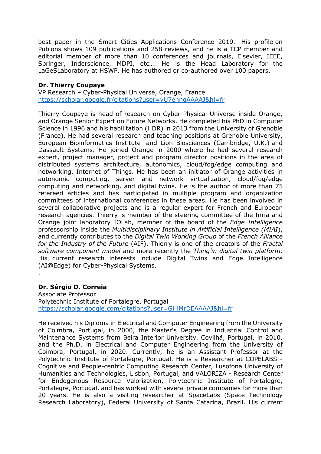best paper in the Smart Cities Applications Conference 2019. His profile on Publons shows 109 publications and 258 reviews, and he is a TCP member and editorial member of more than 10 conferences and journals, Elsevier, IEEE, Springer, Inderscience, MDPI, etc…. He is the Head Laboratory for the LaGeSLaboratory at HSWP. He has authored or co-authored over 100 papers.

#### **Dr. Thierry Coupaye**

VP Research – Cyber-Physical Universe, Orange, France <https://scholar.google.fr/citations?user=yU7enngAAAAJ&hl=fr>

Thierry Coupaye is head of research on Cyber-Physical Universe inside Orange, and Orange Senior Expert on Future Networks. He completed his PhD in Computer Science in 1996 and his habilitation (HDR) in 2013 from the University of Grenoble (France). He had several research and teaching positions at Grenoble University, European Bioinformatics Institute and Lion Biosciences (Cambridge, U.K.) and Dassault Systems. He joined Orange in 2000 where he had several research expert, project manager, project and program director positions in the area of distributed systems architecture, autonomics, cloud/fog/edge computing and networking, Internet of Things. He has been an initiator of Orange activities in autonomic computing, server and network virtualization, cloud/fog/edge computing and networking, and digital twins. He is the author of more than 75 refereed articles and has participated in multiple program and organization committees of international conferences in these areas. He has been involved in several collaborative projects and is a regular expert for French and European research agencies. Thierry is member of the steering committee of the Inria and Orange joint laboratory IOLab, member of the board of the *Edge Intelligence* professorship inside the *Multidisciplinary Institute in Artificial Intelligence (MIAI*), and currently contributes to the *Digital Twin Working Group* of the *French Alliance for the Industry of the Future* (AIF). Thierry is one of the creators of the *Fractal software component model* and more recently the *Thing'in digital twin platform*. His current research interests include Digital Twins and Edge Intelligence (AI@Edge) for Cyber-Physical Systems.

#### **Dr. Sérgio D. Correia**

.

Associate Professor Polytechnic Institute of Portalegre, Portugal <https://scholar.google.com/citations?user=GHiMrDEAAAAJ&hl=fr>

He received his Diploma in Electrical and Computer Engineering from the University of Coimbra, Portugal, in 2000, the Master's Degree in Industrial Control and Maintenance Systems from Beira Interior University, Covilhã, Portugal, in 2010, and the Ph.D. in Electrical and Computer Engineering from the University of Coimbra, Portugal, in 2020. Currently, he is an Assistant Professor at the Polytechnic Institute of Portalegre, Portugal. He is a Researcher at COPELABS - Cognitive and People-centric Computing Research Center, Lusofona University of Humanities and Technologies, Lisbon, Portugal, and VALORIZA - Research Center for Endogenous Resource Valorization, Polytechnic Institute of Portalegre, Portalegre, Portugal, and has worked with several private companies for more than 20 years. He is also a visiting researcher at SpaceLabs (Space Technology Research Laboratory), Federal University of Santa Catarina, Brazil. His current